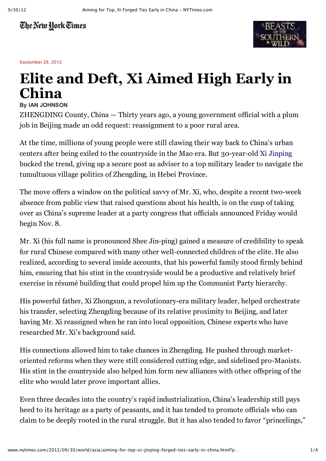## The New Hork Times



September 29, 2012

## **Elite and Deft, Xi Aimed High Early in China**

## **By IAN JOHNSON**

ZHENGDING County, China — Thirty years ago, a young government official with a plum job in Beijing made an odd request: reassignment to a poor rural area.

At the time, millions of young people were still clawing their way back to China's urban centers after being exiled to the countryside in the Mao era. But 30-year-old Xi [Jinping](http://topics.nytimes.com/top/reference/timestopics/people/x/xi_jinping/index.html?inline=nyt-per) bucked the trend, giving up a secure post as adviser to a top military leader to navigate the tumultuous village politics of Zhengding, in Hebei Province.

The move offers a window on the political savvy of Mr. Xi, who, despite a recent two-week absence from public view that raised questions about his health, is on the cusp of taking over as China's supreme leader at a party congress that officials announced Friday would begin Nov. 8.

Mr. Xi (his full name is pronounced Shee Jin-ping) gained a measure of credibility to speak for rural Chinese compared with many other well-connected children of the elite. He also realized, according to several inside accounts, that his powerful family stood firmly behind him, ensuring that his stint in the countryside would be a productive and relatively brief exercise in résumé building that could propel him up the Communist Party hierarchy.

His powerful father, Xi Zhongxun, a revolutionary-era military leader, helped orchestrate his transfer, selecting Zhengding because of its relative proximity to Beijing, and later having Mr. Xi reassigned when he ran into local opposition, Chinese experts who have researched Mr. Xi's background said.

His connections allowed him to take chances in Zhengding. He pushed through marketoriented reforms when they were still considered cutting edge, and sidelined pro-Maoists. His stint in the countryside also helped him form new alliances with other offspring of the elite who would later prove important allies.

Even three decades into the country's rapid industrialization, China's leadership still pays heed to its heritage as a party of peasants, and it has tended to promote officials who can claim to be deeply rooted in the rural struggle. But it has also tended to favor "princelings,"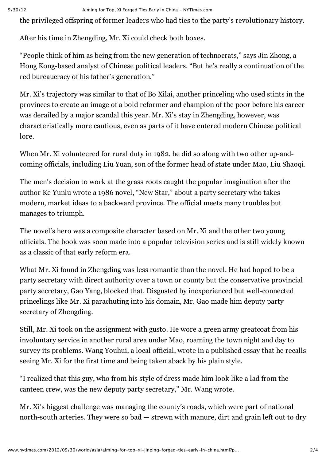## 9/30/12 Aiming for Top, Xi Forged Ties Early in China ‑ NYTimes.com

the privileged offspring of former leaders who had ties to the party's revolutionary history.

After his time in Zhengding, Mr. Xi could check both boxes.

"People think of him as being from the new generation of technocrats," says Jin Zhong, a Hong Kong-based analyst of Chinese political leaders. "But he's really a continuation of the red bureaucracy of his father's generation."

Mr. Xi's trajectory was similar to that of Bo Xilai, another princeling who used stints in the provinces to create an image of a bold reformer and champion of the poor before his career was derailed by a major scandal this year. Mr. Xi's stay in Zhengding, however, was characteristically more cautious, even as parts of it have entered modern Chinese political lore.

When Mr. Xi volunteered for rural duty in 1982, he did so along with two other up-andcoming officials, including Liu Yuan, son of the former head of state under Mao, Liu Shaoqi.

The men's decision to work at the grass roots caught the popular imagination after the author Ke Yunlu wrote a 1986 novel, "New Star," about a party secretary who takes modern, market ideas to a backward province. The official meets many troubles but manages to triumph.

The novel's hero was a composite character based on Mr. Xi and the other two young officials. The book was soon made into a popular television series and is still widely known as a classic of that early reform era.

What Mr. Xi found in Zhengding was less romantic than the novel. He had hoped to be a party secretary with direct authority over a town or county but the conservative provincial party secretary, Gao Yang, blocked that. Disgusted by inexperienced but well-connected princelings like Mr. Xi parachuting into his domain, Mr. Gao made him deputy party secretary of Zhengding.

Still, Mr. Xi took on the assignment with gusto. He wore a green army greatcoat from his involuntary service in another rural area under Mao, roaming the town night and day to survey its problems. Wang Youhui, a local official, wrote in a published essay that he recalls seeing Mr. Xi for the first time and being taken aback by his plain style.

"I realized that this guy, who from his style of dress made him look like a lad from the canteen crew, was the new deputy party secretary," Mr. Wang wrote.

Mr. Xi's biggest challenge was managing the county's roads, which were part of national north-south arteries. They were so bad  $-$  strewn with manure, dirt and grain left out to dry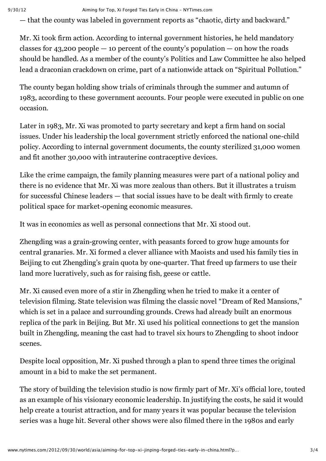— that the county was labeled in government reports as "chaotic, dirty and backward."

Mr. Xi took firm action. According to internal government histories, he held mandatory classes for 43,200 people  $-$  10 percent of the county's population  $-$  on how the roads should be handled. As a member of the county's Politics and Law Committee he also helped lead a draconian crackdown on crime, part of a nationwide attack on "Spiritual Pollution."

The county began holding show trials of criminals through the summer and autumn of 1983, according to these government accounts. Four people were executed in public on one occasion.

Later in 1983, Mr. Xi was promoted to party secretary and kept a firm hand on social issues. Under his leadership the local government strictly enforced the national one-child policy. According to internal government documents, the county sterilized 31,000 women and fit another 30,000 with intrauterine contraceptive devices.

Like the crime campaign, the family planning measures were part of a national policy and there is no evidence that Mr. Xi was more zealous than others. But it illustrates a truism for successful Chinese leaders — that social issues have to be dealt with firmly to create political space for market-opening economic measures.

It was in economics as well as personal connections that Mr. Xi stood out.

Zhengding was a grain-growing center, with peasants forced to grow huge amounts for central granaries. Mr. Xi formed a clever alliance with Maoists and used his family ties in Beijing to cut Zhengding's grain quota by one-quarter. That freed up farmers to use their land more lucratively, such as for raising fish, geese or cattle.

Mr. Xi caused even more of a stir in Zhengding when he tried to make it a center of television filming. State television was filming the classic novel "Dream of Red Mansions," which is set in a palace and surrounding grounds. Crews had already built an enormous replica of the park in Beijing. But Mr. Xi used his political connections to get the mansion built in Zhengding, meaning the cast had to travel six hours to Zhengding to shoot indoor scenes.

Despite local opposition, Mr. Xi pushed through a plan to spend three times the original amount in a bid to make the set permanent.

The story of building the television studio is now firmly part of Mr. Xi's official lore, touted as an example of his visionary economic leadership. In justifying the costs, he said it would help create a tourist attraction, and for many years it was popular because the television series was a huge hit. Several other shows were also filmed there in the 1980s and early